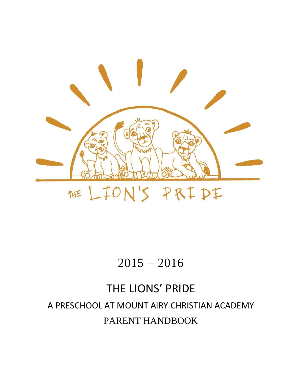

# 2015 – 2016

# THE LIONS' PRIDE A PRESCHOOL AT MOUNT AIRY CHRISTIAN ACADEMY PARENT HANDBOOK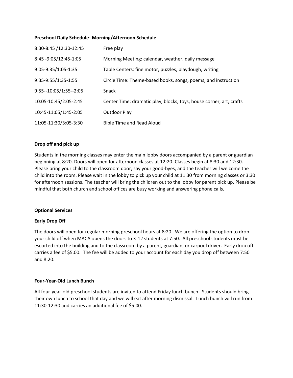#### **Preschool Daily Schedule- Morning/Afternoon Schedule**

| 8:30-8:45 /12:30-12:45 | Free play                                                           |
|------------------------|---------------------------------------------------------------------|
| 8:45 -9:05/12:45-1:05  | Morning Meeting: calendar, weather, daily message                   |
| 9:05-9:35/1:05-1:35    | Table Centers: fine motor, puzzles, playdough, writing              |
| 9:35-9:55/1:35-1:55    | Circle Time: Theme-based books, songs, poems, and instruction       |
| 9:55--10:05/1:55--2:05 | Snack                                                               |
| 10:05-10:45/2:05-2:45  | Center Time: dramatic play, blocks, toys, house corner, art, crafts |
| 10:45-11:05/1:45-2:05  | <b>Outdoor Play</b>                                                 |
| 11:05-11:30/3:05-3:30  | <b>Bible Time and Read Aloud</b>                                    |

# **Drop off and pick up**

Students in the morning classes may enter the main lobby doors accompanied by a parent or guardian beginning at 8:20. Doors will open for afternoon classes at 12:20. Classes begin at 8:30 and 12:30. Please bring your child to the classroom door, say your good-byes, and the teacher will welcome the child into the room. Please wait in the lobby to pick up your child at 11:30 from morning classes or 3:30 for afternoon sessions. The teacher will bring the children out to the lobby for parent pick up. Please be mindful that both church and school offices are busy working and answering phone calls.

#### **Optional Services**

# **Early Drop Off**

The doors will open for regular morning preschool hours at 8:20. We are offering the option to drop your child off when MACA opens the doors to K-12 students at 7:50. All preschool students must be escorted into the building and to the classroom by a parent, guardian, or carpool driver. Early drop off carries a fee of \$5.00. The fee will be added to your account for each day you drop off between 7:50 and 8:20.

# **Four-Year-Old Lunch Bunch**

All four-year-old preschool students are invited to attend Friday lunch bunch. Students should bring their own lunch to school that day and we will eat after morning dismissal. Lunch bunch will run from 11:30-12:30 and carries an additional fee of \$5.00.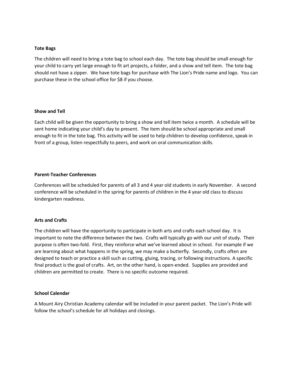#### **Tote Bags**

The children will need to bring a tote bag to school each day. The tote bag should be small enough for your child to carry yet large enough to fit art projects, a folder, and a show and tell item. The tote bag should not have a zipper. We have tote bags for purchase with The Lion's Pride name and logo. You can purchase these in the school office for \$8 if you choose.

#### **Show and Tell**

Each child will be given the opportunity to bring a show and tell item twice a month. A schedule will be sent home indicating your child's day to present. The item should be school appropriate and small enough to fit in the tote bag. This activity will be used to help children to develop confidence, speak in front of a group, listen respectfully to peers, and work on oral communication skills.

# **Parent-Teacher Conferences**

Conferences will be scheduled for parents of all 3 and 4 year old students in early November. A second conference will be scheduled in the spring for parents of children in the 4 year old class to discuss kindergarten readiness.

# **Arts and Crafts**

The children will have the opportunity to participate in both arts and crafts each school day. It is important to note the difference between the two. Crafts will typically go with our unit of study. Their purpose is often two-fold. First, they reinforce what we've learned about in school. For example if we are learning about what happens in the spring, we may make a butterfly. Secondly, crafts often are designed to teach or practice a skill such as cutting, gluing, tracing, or following instructions. A specific final product is the goal of crafts. Art, on the other hand, is open-ended. Supplies are provided and children are permitted to create. There is no specific outcome required.

#### **School Calendar**

A Mount Airy Christian Academy calendar will be included in your parent packet. The Lion's Pride will follow the school's schedule for all holidays and closings.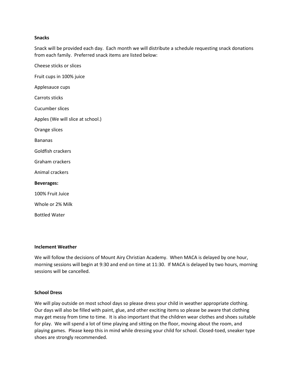#### **Snacks**

Snack will be provided each day. Each month we will distribute a schedule requesting snack donations from each family. Preferred snack items are listed below:

Cheese sticks or slices Fruit cups in 100% juice Applesauce cups Carrots sticks Cucumber slices Apples (We will slice at school.) Orange slices Bananas Goldfish crackers Graham crackers Animal crackers **Beverages:** 100% Fruit Juice Whole or 2% Milk Bottled Water

#### **Inclement Weather**

We will follow the decisions of Mount Airy Christian Academy. When MACA is delayed by one hour, morning sessions will begin at 9:30 and end on time at 11:30. If MACA is delayed by two hours, morning sessions will be cancelled.

#### **School Dress**

We will play outside on most school days so please dress your child in weather appropriate clothing. Our days will also be filled with paint, glue, and other exciting items so please be aware that clothing may get messy from time to time. It is also important that the children wear clothes and shoes suitable for play. We will spend a lot of time playing and sitting on the floor, moving about the room, and playing games. Please keep this in mind while dressing your child for school. Closed-toed, sneaker type shoes are strongly recommended.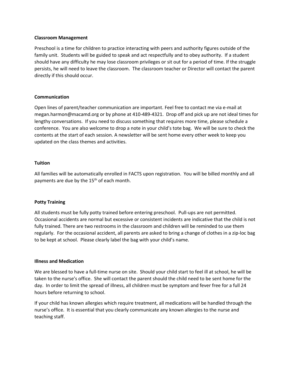#### **Classroom Management**

Preschool is a time for children to practice interacting with peers and authority figures outside of the family unit. Students will be guided to speak and act respectfully and to obey authority. If a student should have any difficulty he may lose classroom privileges or sit out for a period of time. If the struggle persists, he will need to leave the classroom. The classroom teacher or Director will contact the parent directly if this should occur.

# **Communication**

Open lines of parent/teacher communication are important. Feel free to contact me via e-mail at [megan.harmon@macamd.org](mailto:megan.harmon@macamd.org) or by phone at 410-489-4321. Drop off and pick up are not ideal times for lengthy conversations. If you need to discuss something that requires more time, please schedule a conference. You are also welcome to drop a note in your child's tote bag. We will be sure to check the contents at the start of each session. A newsletter will be sent home every other week to keep you updated on the class themes and activities.

# **Tuition**

All families will be automatically enrolled in FACTS upon registration. You will be billed monthly and all payments are due by the  $15<sup>th</sup>$  of each month.

# **Potty Training**

All students must be fully potty trained before entering preschool. Pull-ups are not permitted. Occasional accidents are normal but excessive or consistent incidents are indicative that the child is not fully trained. There are two restrooms in the classroom and children will be reminded to use them regularly. For the occasional accident, all parents are asked to bring a change of clothes in a zip-loc bag to be kept at school. Please clearly label the bag with your child's name.

# **Illness and Medication**

We are blessed to have a full-time nurse on site. Should your child start to feel ill at school, he will be taken to the nurse's office. She will contact the parent should the child need to be sent home for the day. In order to limit the spread of illness, all children must be symptom and fever free for a full 24 hours before returning to school.

If your child has known allergies which require treatment, all medications will be handled through the nurse's office. It is essential that you clearly communicate any known allergies to the nurse and teaching staff.